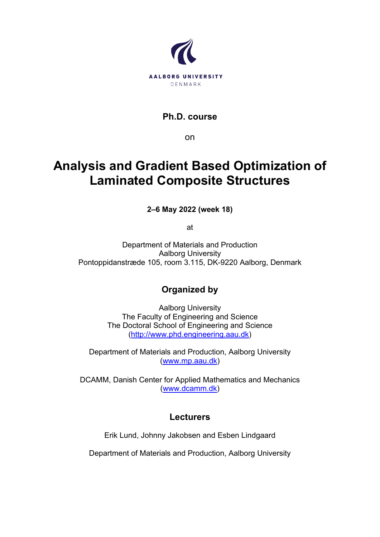

**Ph.D. course**

on

# **Analysis and Gradient Based Optimization of Laminated Composite Structures**

**2–6 May 2022 (week 18)**

at

Department of Materials and Production Aalborg University Pontoppidanstræde 105, room 3.115, DK-9220 Aalborg, Denmark

# **Organized by**

Aalborg University The Faculty of Engineering and Science The Doctoral School of Engineering and Science [\(http://www.phd.engineering.aau.dk\)](http://www.phd.engineering.aau.dk/)

Department of Materials and Production, Aalborg University [\(www.mp.aau.dk\)](http://www.mp.aau.dk/)

DCAMM, Danish Center for Applied Mathematics and Mechanics [\(www.dcamm.dk\)](http://www.dcamm.dk/)

## **Lecturers**

Erik Lund, Johnny Jakobsen and Esben Lindgaard

Department of Materials and Production, Aalborg University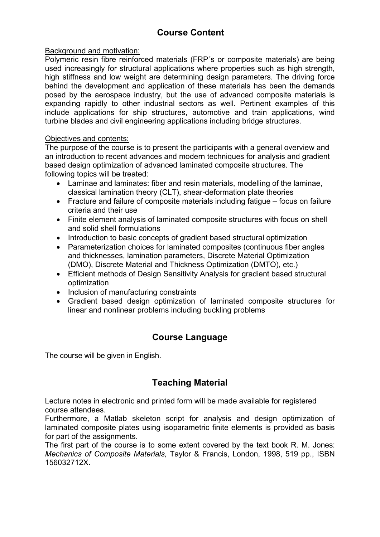# **Course Content**

#### Background and motivation:

Polymeric resin fibre reinforced materials (FRP´s or composite materials) are being used increasingly for structural applications where properties such as high strength, high stiffness and low weight are determining design parameters. The driving force behind the development and application of these materials has been the demands posed by the aerospace industry, but the use of advanced composite materials is expanding rapidly to other industrial sectors as well. Pertinent examples of this include applications for ship structures, automotive and train applications, wind turbine blades and civil engineering applications including bridge structures.

#### Objectives and contents:

The purpose of the course is to present the participants with a general overview and an introduction to recent advances and modern techniques for analysis and gradient based design optimization of advanced laminated composite structures. The following topics will be treated:

- Laminae and laminates: fiber and resin materials, modelling of the laminae, classical lamination theory (CLT), shear-deformation plate theories
- Fracture and failure of composite materials including fatigue focus on failure criteria and their use
- Finite element analysis of laminated composite structures with focus on shell and solid shell formulations
- Introduction to basic concepts of gradient based structural optimization
- Parameterization choices for laminated composites (continuous fiber angles and thicknesses, lamination parameters, Discrete Material Optimization (DMO), Discrete Material and Thickness Optimization (DMTO), etc.)
- Efficient methods of Design Sensitivity Analysis for gradient based structural optimization
- Inclusion of manufacturing constraints
- Gradient based design optimization of laminated composite structures for linear and nonlinear problems including buckling problems

#### **Course Language**

The course will be given in English.

## **Teaching Material**

Lecture notes in electronic and printed form will be made available for registered course attendees.

Furthermore, a Matlab skeleton script for analysis and design optimization of laminated composite plates using isoparametric finite elements is provided as basis for part of the assignments.

The first part of the course is to some extent covered by the text book R. M. Jones: *Mechanics of Composite Materials,* Taylor & Francis, London, 1998, 519 pp., ISBN 156032712X.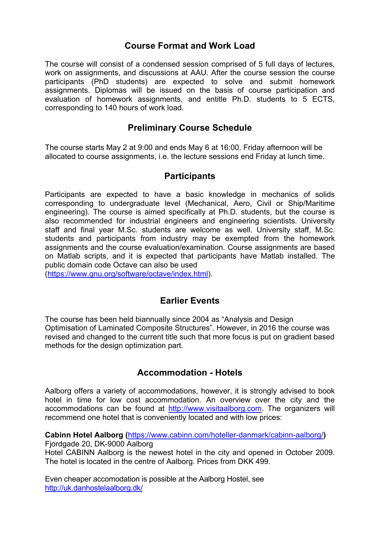## **Course Format and Work Load**

The course will consist of a condensed session comprised of 5 full days of lectures, work on assignments, and discussions at AAU. After the course session the course participants (PhD students) are expected to solve and submit homework assignments. Diplomas will be issued on the basis of course participation and evaluation of homework assignments, and entitle Ph.D. students to 5 ECTS, corresponding to 140 hours of work load.

## **Preliminary Course Schedule**

The course starts May 2 at 9:00 and ends May 6 at 16:00. Friday afternoon will be allocated to course assignments, i.e. the lecture sessions end Friday at lunch time.

#### **Participants**

Participants are expected to have a basic knowledge in mechanics of solids corresponding to undergraduate level (Mechanical, Aero, Civil or Ship/Maritime engineering). The course is aimed specifically at Ph.D. students, but the course is also recommended for industrial engineers and engineering scientists. University staff and final year M.Sc. students are welcome as well. University staff, M.Sc. students and participants from industry may be exempted from the homework assignments and the course evaluation/examination. Course assignments are based on Matlab scripts, and it is expected that participants have Matlab installed. The public domain code Octave can also be used

[\(https://www.gnu.org/software/octave/index.html\)](https://www.gnu.org/software/octave/index.html).

## **Earlier Events**

The course has been held biannually since 2004 as "Analysis and Design Optimisation of Laminated Composite Structures". However, in 2016 the course was revised and changed to the current title such that more focus is put on gradient based methods for the design optimization part.

#### **Accommodation - Hotels**

Aalborg offers a variety of accommodations, however, it is strongly advised to book hotel in time for low cost accommodation. An overview over the city and the accommodations can be found at [http://www.visitaalborg.com.](http://www.visitaalborg.com/) The organizers will recommend one hotel that is conveniently located and with low prices:

**Cabinn Hotel Aalborg (**<https://www.cabinn.com/hoteller-danmark/cabinn-aalborg/>**)** 

Fiordgade 20, DK-9000 Aalborg

Hotel CABINN Aalborg is the newest hotel in the city and opened in October 2009. The hotel is located in the centre of Aalborg. Prices from DKK 499.

Even cheaper accomodation is possible at the Aalborg Hostel, see <http://uk.danhostelaalborg.dk/>